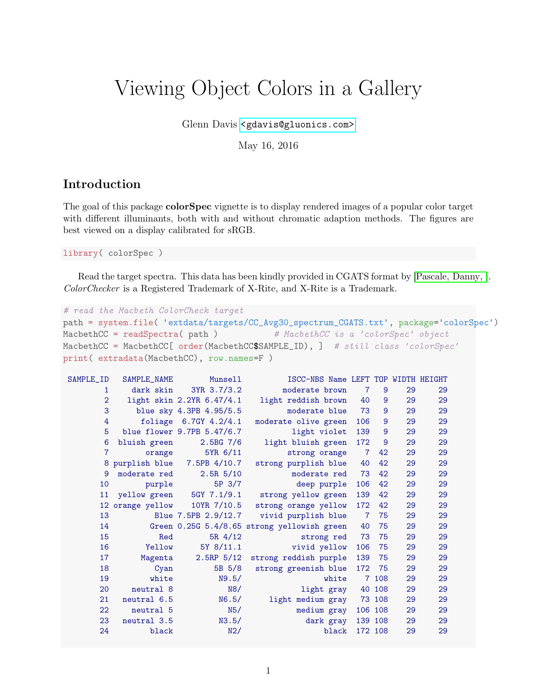# Viewing Object Colors in a Gallery

Glenn Davis [<gdavis@gluonics.com>]( <gdavis@gluonics.com>)

May 16, 2016

#### Introduction

The goal of this package colorSpec vignette is to display rendered images of a popular color target with different illuminants, both with and without chromatic adaption methods. The figures are best viewed on a display calibrated for sRGB.

library( colorSpec )

Read the target spectra. This data has been kindly provided in CGATS format by [\[Pascale, Danny, \]](#page-7-0). ColorChecker is a Registered Trademark of X-Rite, and X-Rite is a Trademark.

```
# read the Macbeth ColorCheck target
path = system.file( 'extdata/targets/CC_Avg30_spectrum_CGATS.txt', package='colorSpec')
MacbethCC = readSpectra (path ) # \text{MacbethCC} is a 'colorSpec' object
MacbethCC = MacbethCC[ order(MacbethCC$SAMPLE_ID), ] # still class 'colorSpec'
print( extradata(MacbethCC), row.names=F )
```

| SAMPLE_ID      | SAMPLE_NAME  | Munsell                      | ISCC-NBS Name LEFT TOP WIDTH HEIGHT          |                |                |    |    |  |
|----------------|--------------|------------------------------|----------------------------------------------|----------------|----------------|----|----|--|
| 1              | dark skin    | 3YR 3.7/3.2                  | moderate brown                               | $\overline{7}$ | $\overline{9}$ | 29 | 29 |  |
| $\overline{2}$ |              | light skin 2.2YR 6.47/4.1    | light reddish brown                          | 40             | 9              | 29 | 29 |  |
| 3              |              | blue sky 4.3PB 4.95/5.5      | moderate blue                                | 73             | 9              | 29 | 29 |  |
| 4              |              | foliage 6.7GY 4.2/4.1        | moderate olive green                         | 106            | 9              | 29 | 29 |  |
| 5              |              | blue flower 9.7PB 5.47/6.7   | light violet                                 | 139            | $\overline{9}$ | 29 | 29 |  |
| 6              | bluish green | $2.5BG$ $7/6$                | light bluish green                           | 172            | 9              | 29 | 29 |  |
| $\overline{7}$ | orange       | 5YR 6/11                     | strong orange                                | $\overline{7}$ | 42             | 29 | 29 |  |
|                |              | 8 purplish blue 7.5PB 4/10.7 | strong purplish blue                         | 40             | 42             | 29 | 29 |  |
| 9              | moderate red | 2.5R <sub>5/10</sub>         | moderate red                                 | 73             | 42             | 29 | 29 |  |
| 10             | purple       | 5P 3/7                       | deep purple                                  | 106            | 42             | 29 | 29 |  |
| 11             |              |                              | yellow green 5GY 7.1/9.1 strong yellow green | 139            | 42             | 29 | 29 |  |
|                |              | 12 orange yellow 10YR 7/10.5 | strong orange yellow                         | 172            | 42             | 29 | 29 |  |
| 13             |              |                              | Blue 7.5PB 2.9/12.7 vivid purplish blue      | $\overline{7}$ | 75             | 29 | 29 |  |
| 14             |              |                              | Green 0.25G 5.4/8.65 strong yellowish green  | 40             | 75             | 29 | 29 |  |
| 15             | Red          | 5R 4/12                      | strong red                                   | 73             | 75             | 29 | 29 |  |
| 16             | Yellow       | 5Y 8/11.1                    | vivid yellow                                 | 106            | 75             | 29 | 29 |  |
| 17             | Magenta      | $2.5RP$ 5/12                 | strong reddish purple                        | 139            | 75             | 29 | 29 |  |
| 18             | Cyan         | 5B 5/8                       | strong greenish blue                         | 172            | 75             | 29 | 29 |  |
| 19             | white        | N9.5/                        | white                                        |                | 7 108          | 29 | 29 |  |
| 20             | neutral 8    | N8/                          | light gray                                   |                | 40 108         | 29 | 29 |  |
| 21             | neutral 6.5  | N6.5/                        | light medium gray                            |                | 73 108         | 29 | 29 |  |
| 22             | neutral 5    | N5/                          | medium gray                                  |                | 106 108        | 29 | 29 |  |
| 23             | neutral 3.5  | N3.5/                        | dark gray                                    |                | 139 108        | 29 | 29 |  |
| 24             | black        | N2/                          | black                                        |                | 172 108        | 29 | 29 |  |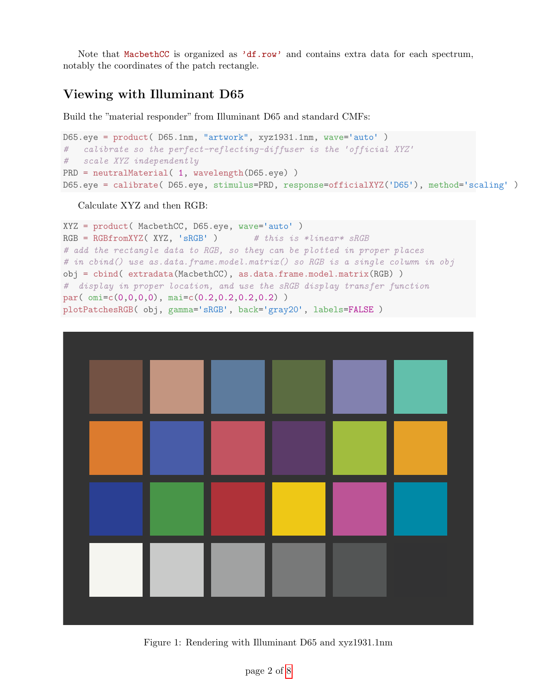Note that MacbethCC is organized as 'df.row' and contains extra data for each spectrum, notably the coordinates of the patch rectangle.

### Viewing with Illuminant D65

Build the "material responder" from Illuminant D65 and standard CMFs:

```
D65.eye = product( D65.1nm, "artwork", xyz1931.1nm, wave='auto' )
# calibrate so the perfect-reflecting-diffuser is the 'official XYZ'
# scale XYZ independently
PRD = neutralMaterial( 1, wavelength(D65.eye))
D65.eye = calibrate( D65.eye, stimulus=PRD, response=officialXYZ('D65'), method='scaling' )
```
#### Calculate XYZ and then RGB:

```
XYZ = product( MacbethCC, D65.eye, wave='auto' )
RGB FRGB = RGBfromXYZ(XYZ, 'sRGB') # this is *linear* sRGB
# add the rectangle data to RGB, so they can be plotted in proper places
# in cbind() use as.data.frame.model.matrix() so RGB is a single column in obj
obj = cbind( extradata(MacbethCC), as.data.frame.model.matrix(RGB) )
# display in proper location, and use the sRGB display transfer function
par( omi=c(0,0,0,0), mai=c(0.2,0.2,0.2,0.2) )
plotPatchesRGB( obj, gamma='sRGB', back='gray20', labels=FALSE )
```


Figure 1: Rendering with Illuminant D65 and xyz1931.1nm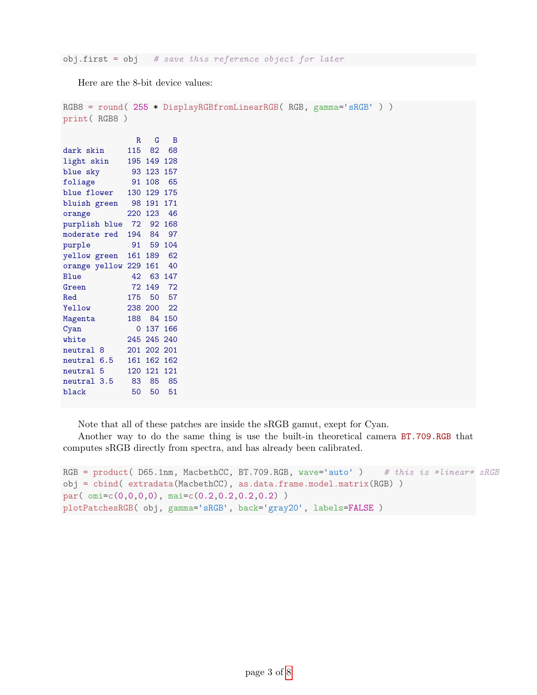Here are the 8-bit device values:

```
RGB8 = round( 255 * DisplayRGBfromLinearRGB( RGB, gamma='sRGB' ) )
print( RGB8 )
             R G B
dark skin 115 82 68
light skin 195 149 128
blue sky 93 123 157
foliage 91 108 65
blue flower 130 129 175
bluish green 98 191 171
orange 220 123 46
purplish blue 72 92 168
moderate red 194 84 97
purple 91 59 104
yellow green 161 189 62
orange yellow 229 161 40
Blue 42 63 147
Green 72 149 72
Red 175 50 57
Yellow 238 200 22
Magenta 188 84 150
Cyan 0 137 166<br>white 245 245 240
         white 245 245 240
neutral 8 201 202 201
neutral 6.5 161 162 162
neutral 5 120 121 121
neutral 3.5 83 85 85
black 50 50 51
```
Note that all of these patches are inside the sRGB gamut, exept for Cyan.

Another way to do the same thing is use the built-in theoretical camera BT.709.RGB that computes sRGB directly from spectra, and has already been calibrated.

```
RGB = product( D65.1nm, MacbethCC, BT.709.RGB, wave='auto' ) # this is *linear* sRGB
obj = cbind( extradata(MacbethCC), as.data.frame.model.matrix(RGB) )
par( omi=c(0,0,0,0), mai=c(0.2,0.2,0.2,0.2) )
plotPatchesRGB( obj, gamma='sRGB', back='gray20', labels=FALSE )
```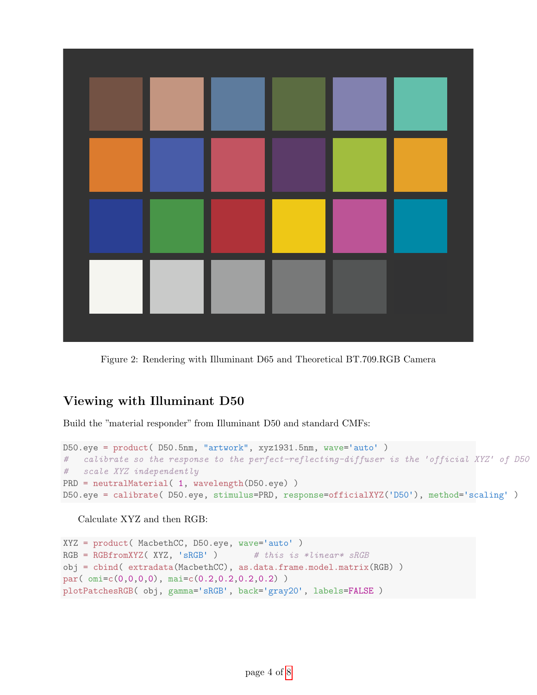

Figure 2: Rendering with Illuminant D65 and Theoretical BT.709.RGB Camera

### Viewing with Illuminant D50

Build the "material responder" from Illuminant D50 and standard CMFs:

```
D50.eye = product( D50.5nm, "artwork", xyz1931.5nm, wave='auto' )
# calibrate so the response to the perfect-reflecting-diffuser is the 'official XYZ' of D50
# scale XYZ independently
PRD = neutralMaterial( 1, wavelength(D50.eye) )
D50.eye = calibrate( D50.eye, stimulus=PRD, response=officialXYZ('D50'), method='scaling' )
```
Calculate XYZ and then RGB:

```
XYZ = product( MacbethCC, D50.eye, wave='auto' )
RGB = RGBfromXYZ( XYZ, 'sRGB') # this is *linear* sRGBobj = cbind( extradata(MacbethCC), as.data.frame.model.matrix(RGB) )
par( omi=c(0,0,0,0), mai=c(0.2,0.2,0.2,0.2) )
plotPatchesRGB( obj, gamma='sRGB', back='gray20', labels=FALSE )
```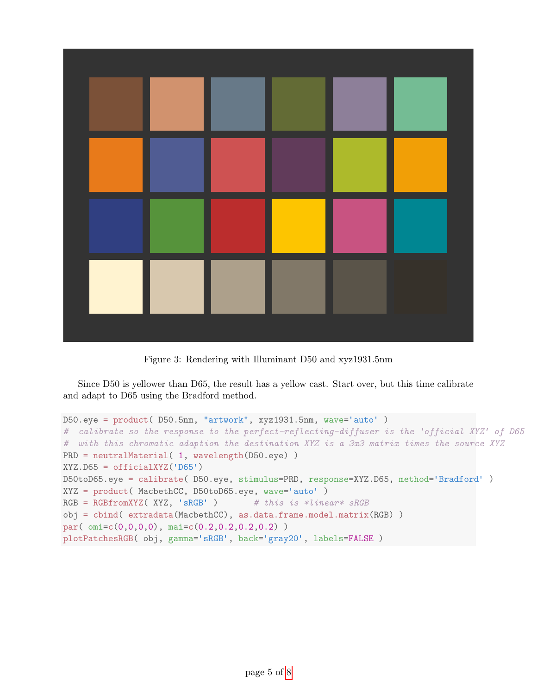

Figure 3: Rendering with Illuminant D50 and xyz1931.5nm

Since D50 is yellower than D65, the result has a yellow cast. Start over, but this time calibrate and adapt to D65 using the Bradford method.

```
D50.eye = product( D50.5nm, "artwork", xyz1931.5nm, wave='auto' )
# calibrate so the response to the perfect-reflecting-diffuser is the 'official XYZ' of D65
# with this chromatic adaption the destination XYZ is a 3x3 matrix times the source XYZ
PRD = neutralMaterial( 1, wavelength(D50.eye))
XYZ.D65 = officialXYZ('D65')
D50toD65.eye = calibrate( D50.eye, stimulus=PRD, response=XYZ.D65, method='Bradford' )
XYZ = product( MacbethCC, D50toD65.eye, wave='auto' )
RGB = RGBfromXYZ( XYZ, 'sRGB') # this is *linear* sRGBobj = cbind( extradata(MacbethCC), as.data.frame.model.matrix(RGB) )
par( omi=c(0,0,0,0), mai=c(0.2,0.2,0.2,0.2) )
plotPatchesRGB( obj, gamma='sRGB', back='gray20', labels=FALSE )
```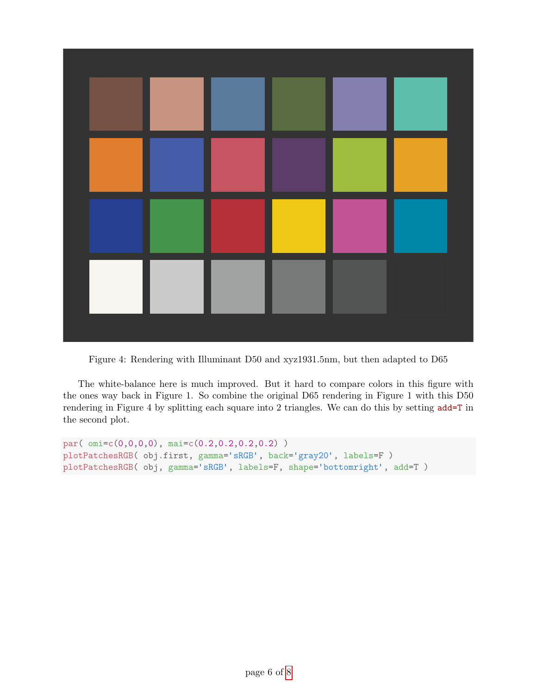

Figure 4: Rendering with Illuminant D50 and xyz1931.5nm, but then adapted to D65

The white-balance here is much improved. But it hard to compare colors in this figure with the ones way back in Figure 1. So combine the original D65 rendering in Figure 1 with this D50 rendering in Figure 4 by splitting each square into 2 triangles. We can do this by setting add=T in the second plot.

```
par( omi=c(0,0,0,0), mai=c(0.2,0.2,0.2,0.2) )
plotPatchesRGB( obj.first, gamma='sRGB', back='gray20', labels=F )
plotPatchesRGB( obj, gamma='sRGB', labels=F, shape='bottomright', add=T )
```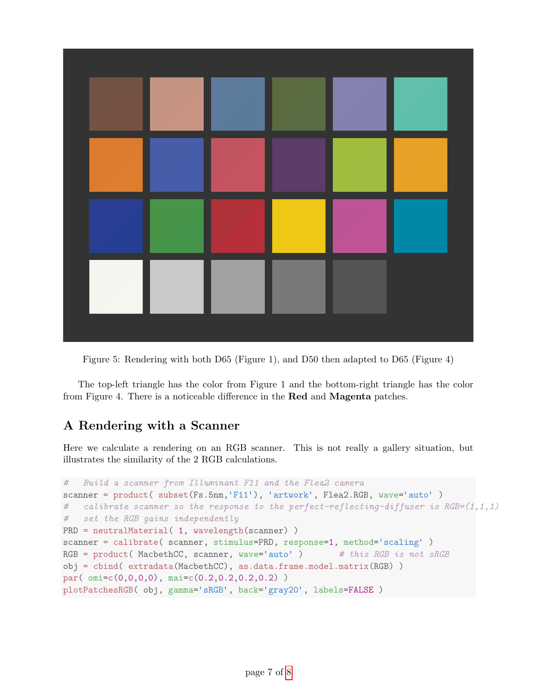

Figure 5: Rendering with both D65 (Figure 1), and D50 then adapted to D65 (Figure 4)

The top-left triangle has the color from Figure 1 and the bottom-right triangle has the color from Figure 4. There is a noticeable difference in the Red and Magenta patches.

## A Rendering with a Scanner

Here we calculate a rendering on an RGB scanner. This is not really a gallery situation, but illustrates the similarity of the 2 RGB calculations.

```
# Build a scanner from Illuminant F11 and the Flea2 camera
scanner = product( subset(Fs.5nm,'F11'), 'artwork', Flea2.RGB, wave='auto')
# calibrate scanner so the response to the perfect-reflecting-diffuser is RGB=(1,1,1)# set the RGB gains independently
PRD = neutralMaterial( 1, wavelength(scanner) )
scanner = calibrate( scanner, stimulus=PRD, response=1, method='scaling' )
RGB = product (MacbethCC, scanner, wave='auto' ) # this RGB is not sRGB
obj = cbind( extradata(MacbethCC), as.data.frame.model.matrix(RGB) )
par( omi=c(0,0,0,0), mai=c(0.2,0.2,0.2,0.2) )
plotPatchesRGB( obj, gamma='sRGB', back='gray20', labels=FALSE )
```